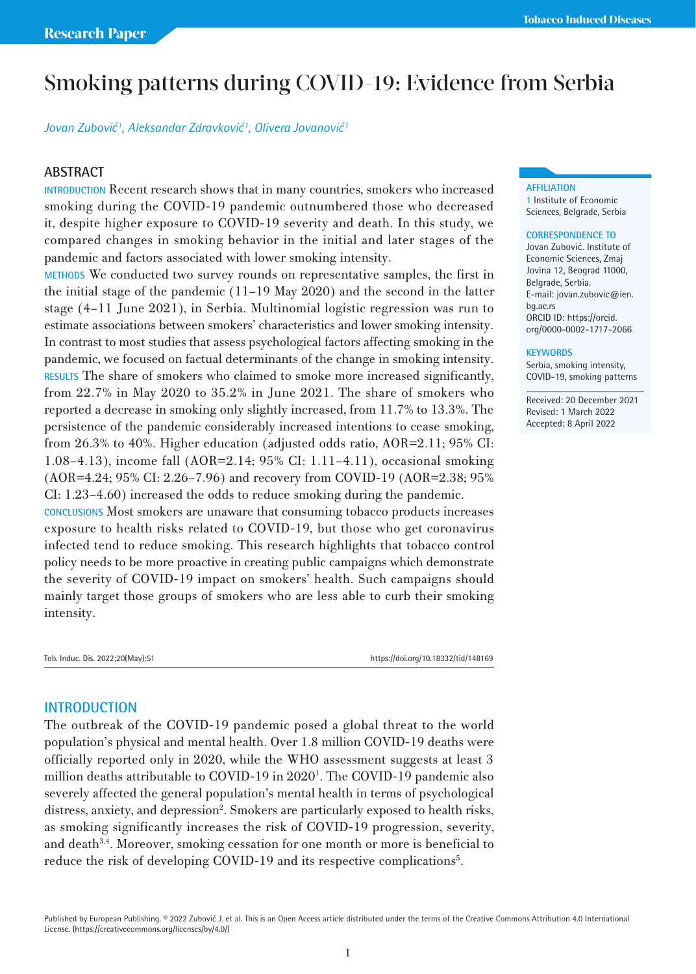# Smoking patterns during COVID-19: Evidence from Serbia

*Jovan Zubović<sup>1</sup> , Aleksandar Zdravković<sup>1</sup> , Olivera Jovanović<sup>1</sup>*

## **ABSTRACT**

**INTRODUCTION** Recent research shows that in many countries, smokers who increased smoking during the COVID-19 pandemic outnumbered those who decreased it, despite higher exposure to COVID-19 severity and death. In this study, we compared changes in smoking behavior in the initial and later stages of the pandemic and factors associated with lower smoking intensity.

**METHODS** We conducted two survey rounds on representative samples, the first in the initial stage of the pandemic (11–19 May 2020) and the second in the latter stage (4–11 June 2021), in Serbia. Multinomial logistic regression was run to estimate associations between smokers' characteristics and lower smoking intensity. In contrast to most studies that assess psychological factors affecting smoking in the pandemic, we focused on factual determinants of the change in smoking intensity. **RESULTS** The share of smokers who claimed to smoke more increased significantly, from 22.7% in May 2020 to 35.2% in June 2021. The share of smokers who reported a decrease in smoking only slightly increased, from 11.7% to 13.3%. The persistence of the pandemic considerably increased intentions to cease smoking, from 26.3% to 40%. Higher education (adjusted odds ratio, AOR=2.11; 95% CI: 1.08–4.13), income fall (AOR=2.14; 95% CI: 1.11–4.11), occasional smoking (AOR=4.24; 95% CI: 2.26–7.96) and recovery from COVID-19 (AOR=2.38; 95% CI: 1.23–4.60) increased the odds to reduce smoking during the pandemic.

**CONCLUSIONS** Most smokers are unaware that consuming tobacco products increases exposure to health risks related to COVID-19, but those who get coronavirus infected tend to reduce smoking. This research highlights that tobacco control policy needs to be more proactive in creating public campaigns which demonstrate the severity of COVID-19 impact on smokers' health. Such campaigns should mainly target those groups of smokers who are less able to curb their smoking intensity.

Tob. Induc. Dis. 2022;20(May):51 https://doi.org/10.18332/tid/148169

### **INTRODUCTION**

The outbreak of the COVID-19 pandemic posed a global threat to the world population's physical and mental health. Over 1.8 million COVID-19 deaths were officially reported only in 2020, while the WHO assessment suggests at least 3 million deaths attributable to COVID-19 in 2020<sup>1</sup>. The COVID-19 pandemic also severely affected the general population's mental health in terms of psychological distress, anxiety, and depression<sup>2</sup>. Smokers are particularly exposed to health risks, as smoking significantly increases the risk of COVID-19 progression, severity, and death $3,4$ . Moreover, smoking cessation for one month or more is beneficial to reduce the risk of developing COVID-19 and its respective complications<sup>5</sup>.

#### **AFFILIATION**

1 Institute of Economic Sciences, Belgrade, Serbia

#### **CORRESPONDENCE TO**

Jovan Zubović. Institute of Economic Sciences, Zmaj Jovina 12, Beograd 11000, Belgrade, Serbia. E-mail: jovan.zubovic@ien. bg.ac.rs ORCID ID: https://orcid. org/0000-0002-1717-2066

#### **KEYWORDS**

Serbia, smoking intensity, COVID-19, smoking patterns

Received: 20 December 2021 Revised: 1 March 2022 Accepted: 8 April 2022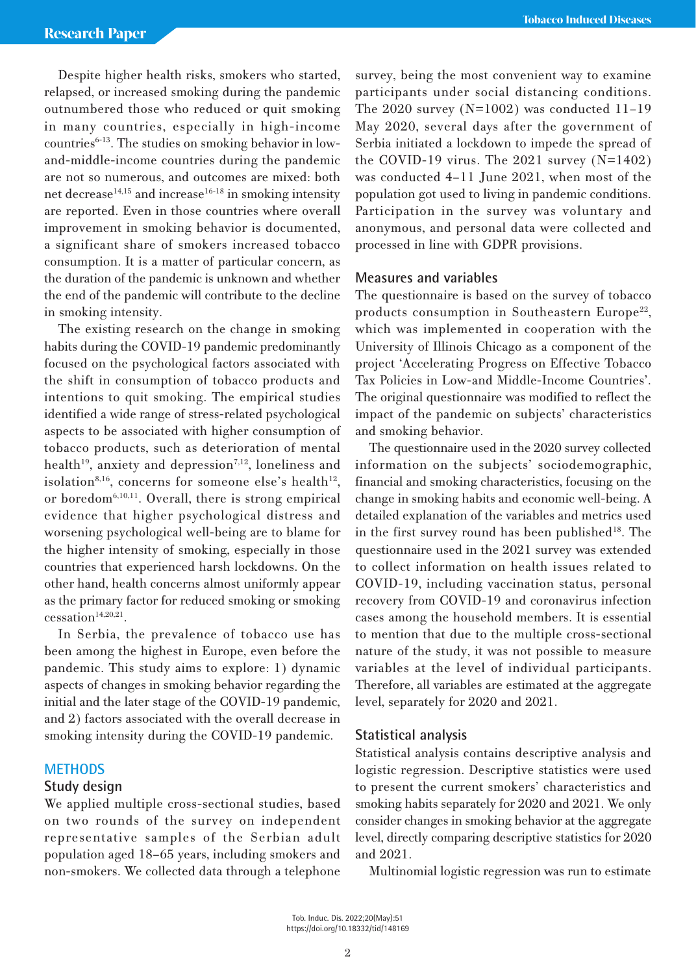Despite higher health risks, smokers who started, relapsed, or increased smoking during the pandemic outnumbered those who reduced or quit smoking in many countries, especially in high-income countries $6-13$ . The studies on smoking behavior in lowand-middle-income countries during the pandemic are not so numerous, and outcomes are mixed: both net decrease<sup>14,15</sup> and increase<sup>16-18</sup> in smoking intensity are reported. Even in those countries where overall improvement in smoking behavior is documented, a significant share of smokers increased tobacco consumption. It is a matter of particular concern, as the duration of the pandemic is unknown and whether the end of the pandemic will contribute to the decline in smoking intensity.

The existing research on the change in smoking habits during the COVID-19 pandemic predominantly focused on the psychological factors associated with the shift in consumption of tobacco products and intentions to quit smoking. The empirical studies identified a wide range of stress-related psychological aspects to be associated with higher consumption of tobacco products, such as deterioration of mental health<sup>19</sup>, anxiety and depression<sup>7,12</sup>, loneliness and isolation<sup>8,16</sup>, concerns for someone else's health<sup>12</sup>, or boredom<sup>6,10,11</sup>. Overall, there is strong empirical evidence that higher psychological distress and worsening psychological well-being are to blame for the higher intensity of smoking, especially in those countries that experienced harsh lockdowns. On the other hand, health concerns almost uniformly appear as the primary factor for reduced smoking or smoking  $c$ essation<sup>14,20,21</sup>.

In Serbia, the prevalence of tobacco use has been among the highest in Europe, even before the pandemic. This study aims to explore: 1) dynamic aspects of changes in smoking behavior regarding the initial and the later stage of the COVID-19 pandemic, and 2) factors associated with the overall decrease in smoking intensity during the COVID-19 pandemic.

### **METHODS**

### **Study design**

We applied multiple cross-sectional studies, based on two rounds of the survey on independent representative samples of the Serbian adult population aged 18–65 years, including smokers and non-smokers. We collected data through a telephone survey, being the most convenient way to examine participants under social distancing conditions. The 2020 survey (N=1002) was conducted 11–19 May 2020, several days after the government of Serbia initiated a lockdown to impede the spread of the COVID-19 virus. The  $2021$  survey  $(N=1402)$ was conducted 4–11 June 2021, when most of the population got used to living in pandemic conditions. Participation in the survey was voluntary and anonymous, and personal data were collected and processed in line with GDPR provisions.

### **Measures and variables**

The questionnaire is based on the survey of tobacco products consumption in Southeastern Europe<sup>22</sup>, which was implemented in cooperation with the University of Illinois Chicago as a component of the project 'Accelerating Progress on Effective Tobacco Tax Policies in Low-and Middle-Income Countries'. The original questionnaire was modified to reflect the impact of the pandemic on subjects' characteristics and smoking behavior.

The questionnaire used in the 2020 survey collected information on the subjects' sociodemographic, financial and smoking characteristics, focusing on the change in smoking habits and economic well-being. A detailed explanation of the variables and metrics used in the first survey round has been published<sup>18</sup>. The questionnaire used in the 2021 survey was extended to collect information on health issues related to COVID-19, including vaccination status, personal recovery from COVID-19 and coronavirus infection cases among the household members. It is essential to mention that due to the multiple cross-sectional nature of the study, it was not possible to measure variables at the level of individual participants. Therefore, all variables are estimated at the aggregate level, separately for 2020 and 2021.

### **Statistical analysis**

Statistical analysis contains descriptive analysis and logistic regression. Descriptive statistics were used to present the current smokers' characteristics and smoking habits separately for 2020 and 2021. We only consider changes in smoking behavior at the aggregate level, directly comparing descriptive statistics for 2020 and 2021.

Multinomial logistic regression was run to estimate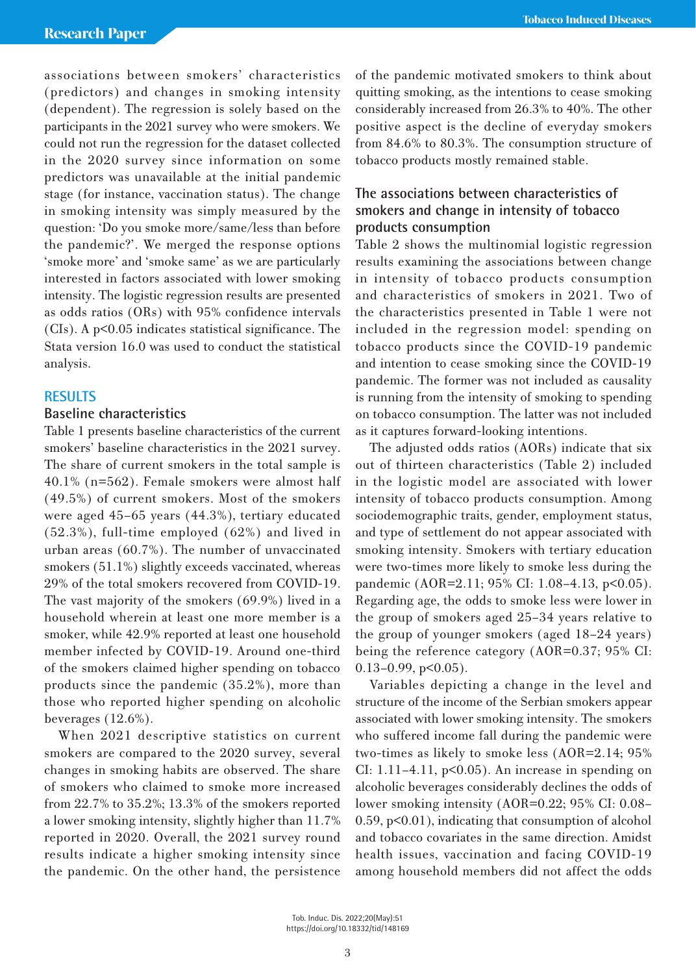associations between smokers' characteristics (predictors) and changes in smoking intensity (dependent). The regression is solely based on the participants in the 2021 survey who were smokers. We could not run the regression for the dataset collected in the 2020 survey since information on some predictors was unavailable at the initial pandemic stage (for instance, vaccination status). The change in smoking intensity was simply measured by the question: 'Do you smoke more/same/less than before the pandemic?'. We merged the response options 'smoke more' and 'smoke same' as we are particularly interested in factors associated with lower smoking intensity. The logistic regression results are presented as odds ratios (ORs) with 95% confidence intervals (CIs). A p<0.05 indicates statistical significance. The Stata version 16.0 was used to conduct the statistical analysis.

# **RESULTS**

# **Baseline characteristics**

Table 1 presents baseline characteristics of the current smokers' baseline characteristics in the 2021 survey. The share of current smokers in the total sample is 40.1% (n=562). Female smokers were almost half (49.5%) of current smokers. Most of the smokers were aged 45–65 years (44.3%), tertiary educated (52.3%), full-time employed (62%) and lived in urban areas (60.7%). The number of unvaccinated smokers (51.1%) slightly exceeds vaccinated, whereas 29% of the total smokers recovered from COVID-19. The vast majority of the smokers (69.9%) lived in a household wherein at least one more member is a smoker, while 42.9% reported at least one household member infected by COVID-19. Around one-third of the smokers claimed higher spending on tobacco products since the pandemic (35.2%), more than those who reported higher spending on alcoholic beverages  $(12.6\%)$ .

When 2021 descriptive statistics on current smokers are compared to the 2020 survey, several changes in smoking habits are observed. The share of smokers who claimed to smoke more increased from 22.7% to 35.2%; 13.3% of the smokers reported a lower smoking intensity, slightly higher than 11.7% reported in 2020. Overall, the 2021 survey round results indicate a higher smoking intensity since the pandemic. On the other hand, the persistence of the pandemic motivated smokers to think about quitting smoking, as the intentions to cease smoking considerably increased from 26.3% to 40%. The other positive aspect is the decline of everyday smokers from 84.6% to 80.3%. The consumption structure of tobacco products mostly remained stable.

# **The associations between characteristics of smokers and change in intensity of tobacco products consumption**

Table 2 shows the multinomial logistic regression results examining the associations between change in intensity of tobacco products consumption and characteristics of smokers in 2021. Two of the characteristics presented in Table 1 were not included in the regression model: spending on tobacco products since the COVID-19 pandemic and intention to cease smoking since the COVID-19 pandemic. The former was not included as causality is running from the intensity of smoking to spending on tobacco consumption. The latter was not included as it captures forward-looking intentions.

The adjusted odds ratios (AORs) indicate that six out of thirteen characteristics (Table 2) included in the logistic model are associated with lower intensity of tobacco products consumption. Among sociodemographic traits, gender, employment status, and type of settlement do not appear associated with smoking intensity. Smokers with tertiary education were two-times more likely to smoke less during the pandemic (AOR=2.11; 95% CI: 1.08–4.13, p<0.05). Regarding age, the odds to smoke less were lower in the group of smokers aged 25–34 years relative to the group of younger smokers (aged 18–24 years) being the reference category (AOR=0.37; 95% CI:  $0.13-0.99$ ,  $p<0.05$ ).

Variables depicting a change in the level and structure of the income of the Serbian smokers appear associated with lower smoking intensity. The smokers who suffered income fall during the pandemic were two-times as likely to smoke less (AOR=2.14; 95% CI:  $1.11-4.11$ ,  $p<0.05$ ). An increase in spending on alcoholic beverages considerably declines the odds of lower smoking intensity (AOR=0.22; 95% CI: 0.08– 0.59, p<0.01), indicating that consumption of alcohol and tobacco covariates in the same direction. Amidst health issues, vaccination and facing COVID-19 among household members did not affect the odds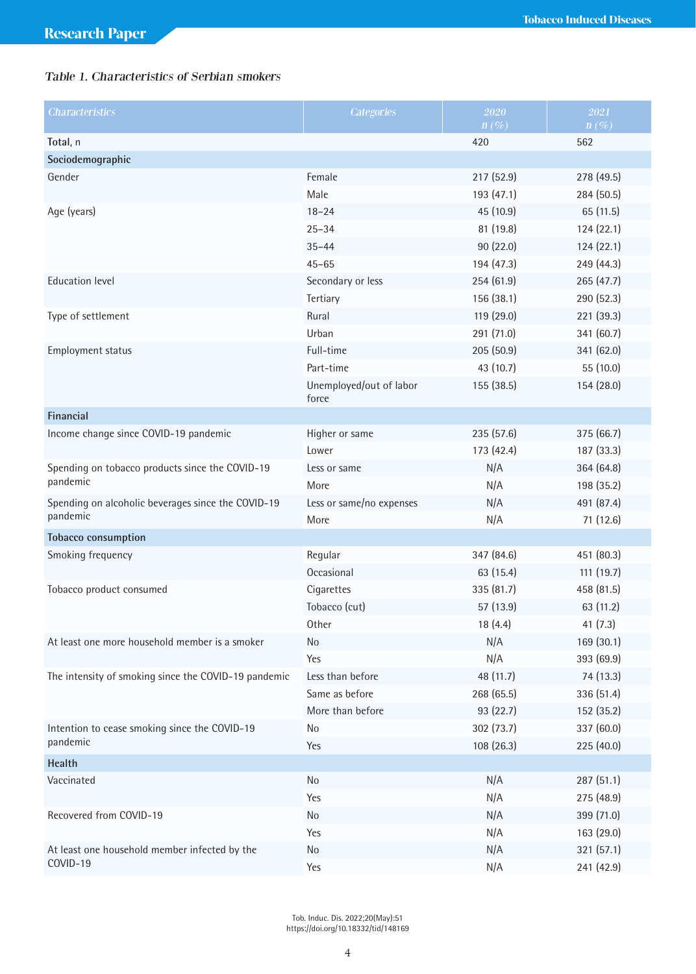# Table 1. Characteristics of Serbian smokers

| <b>Characteristics</b>                               | <b>Categories</b>                | 2020<br>$n(\%)$ | 2021<br>$n(\%)$ |
|------------------------------------------------------|----------------------------------|-----------------|-----------------|
| Total, n                                             |                                  | 420             | 562             |
| Sociodemographic                                     |                                  |                 |                 |
| Gender                                               | Female                           | 217 (52.9)      | 278 (49.5)      |
|                                                      | Male                             | 193 (47.1)      | 284 (50.5)      |
| Age (years)                                          | $18 - 24$                        | 45 (10.9)       | 65 (11.5)       |
|                                                      | $25 - 34$                        | 81 (19.8)       | 124 (22.1)      |
|                                                      | $35 - 44$                        | 90 (22.0)       | 124 (22.1)      |
|                                                      | $45 - 65$                        | 194 (47.3)      | 249 (44.3)      |
| <b>Education level</b>                               | Secondary or less                | 254 (61.9)      | 265 (47.7)      |
|                                                      | Tertiary                         | 156 (38.1)      | 290 (52.3)      |
| Type of settlement                                   | Rural                            | 119 (29.0)      | 221 (39.3)      |
|                                                      | Urban                            | 291 (71.0)      | 341 (60.7)      |
| Employment status                                    | Full-time                        | 205 (50.9)      | 341 (62.0)      |
|                                                      | Part-time                        | 43 (10.7)       | 55 (10.0)       |
|                                                      | Unemployed/out of labor<br>force | 155 (38.5)      | 154 (28.0)      |
| Financial                                            |                                  |                 |                 |
| Income change since COVID-19 pandemic                | Higher or same                   | 235(57.6)       | 375 (66.7)      |
|                                                      | Lower                            | 173 (42.4)      | 187 (33.3)      |
| Spending on tobacco products since the COVID-19      | Less or same                     | N/A             | 364 (64.8)      |
| pandemic                                             | More                             | N/A             | 198 (35.2)      |
| Spending on alcoholic beverages since the COVID-19   | Less or same/no expenses         | N/A             | 491 (87.4)      |
| pandemic                                             | More                             | N/A             | 71 (12.6)       |
| <b>Tobacco consumption</b>                           |                                  |                 |                 |
| Smoking frequency                                    | Regular                          | 347 (84.6)      | 451 (80.3)      |
|                                                      | Occasional                       | 63 (15.4)       | 111 (19.7)      |
| Tobacco product consumed                             | Cigarettes                       | 335 (81.7)      | 458 (81.5)      |
|                                                      | Tobacco (cut)                    | 57 (13.9)       | 63 (11.2)       |
|                                                      | Other                            | 18(4.4)         | 41(7.3)         |
| At least one more household member is a smoker       | <b>No</b>                        | N/A             | 169 (30.1)      |
|                                                      | Yes                              | N/A             | 393 (69.9)      |
| The intensity of smoking since the COVID-19 pandemic | Less than before                 | 48 (11.7)       | 74 (13.3)       |
|                                                      | Same as before                   | 268 (65.5)      | 336 (51.4)      |
|                                                      | More than before                 | 93 (22.7)       | 152 (35.2)      |
| Intention to cease smoking since the COVID-19        | No                               | 302 (73.7)      | 337 (60.0)      |
| pandemic                                             | Yes                              | 108 (26.3)      | 225 (40.0)      |
| Health                                               |                                  |                 |                 |
| Vaccinated                                           | No                               | N/A             | 287 (51.1)      |
|                                                      | Yes                              | N/A             | 275 (48.9)      |
| Recovered from COVID-19                              | No                               | N/A             | 399 (71.0)      |
|                                                      | Yes                              | N/A             | 163 (29.0)      |
| At least one household member infected by the        | No                               | N/A             | 321 (57.1)      |
| COVID-19                                             | Yes                              | N/A             | 241 (42.9)      |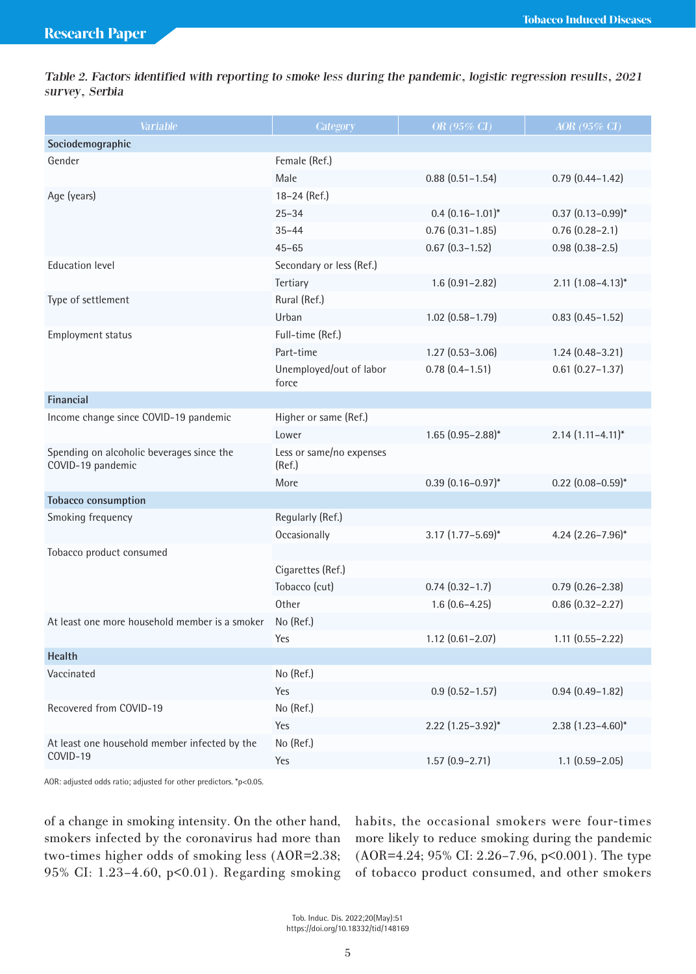Table 2. Factors identified with reporting to smoke less during the pandemic, logistic regression results, 2021 survey, Serbia

| Variable                                                       | Category                           | OR $(95\% \text{ CI})$   | AOR (95% CI)             |
|----------------------------------------------------------------|------------------------------------|--------------------------|--------------------------|
| Sociodemographic                                               |                                    |                          |                          |
| Gender                                                         | Female (Ref.)                      |                          |                          |
|                                                                | Male                               | $0.88$ $(0.51 - 1.54)$   | $0.79(0.44 - 1.42)$      |
| Age (years)                                                    | 18-24 (Ref.)                       |                          |                          |
|                                                                | $25 - 34$                          | $0.4$ $(0.16 - 1.01)^*$  | $0.37$ $(0.13 - 0.99)^*$ |
|                                                                | $35 - 44$                          | $0.76$ $(0.31 - 1.85)$   | $0.76(0.28 - 2.1)$       |
|                                                                | $45 - 65$                          | $0.67$ $(0.3 - 1.52)$    | $0.98(0.38 - 2.5)$       |
| <b>Education level</b>                                         | Secondary or less (Ref.)           |                          |                          |
|                                                                | Tertiary                           | $1.6(0.91 - 2.82)$       | $2.11$ $(1.08-4.13)$ *   |
| Type of settlement                                             | Rural (Ref.)                       |                          |                          |
|                                                                | Urban                              | $1.02$ $(0.58 - 1.79)$   | $0.83$ $(0.45 - 1.52)$   |
| Employment status                                              | Full-time (Ref.)                   |                          |                          |
|                                                                | Part-time                          | $1.27(0.53 - 3.06)$      | $1.24(0.48 - 3.21)$      |
|                                                                | Unemployed/out of labor<br>force   | $0.78(0.4 - 1.51)$       | $0.61$ $(0.27 - 1.37)$   |
| Financial                                                      |                                    |                          |                          |
| Income change since COVID-19 pandemic                          | Higher or same (Ref.)              |                          |                          |
|                                                                | Lower                              | $1.65(0.95 - 2.88)^{*}$  | $2.14$ $(1.11-4.11)^*$   |
| Spending on alcoholic beverages since the<br>COVID-19 pandemic | Less or same/no expenses<br>(Ref.) |                          |                          |
|                                                                | More                               | $0.39(0.16 - 0.97)^{*}$  | $0.22$ (0.08-0.59)*      |
| Tobacco consumption                                            |                                    |                          |                          |
| Smoking frequency                                              | Regularly (Ref.)                   |                          |                          |
|                                                                | Occasionally                       | $3.17$ $(1.77 - 5.69)^*$ | 4.24 $(2.26 - 7.96)^*$   |
| Tobacco product consumed                                       |                                    |                          |                          |
|                                                                | Cigarettes (Ref.)                  |                          |                          |
|                                                                | Tobacco (cut)                      | $0.74(0.32 - 1.7)$       | $0.79(0.26 - 2.38)$      |
|                                                                | Other                              | $1.6(0.6-4.25)$          | $0.86$ $(0.32 - 2.27)$   |
| At least one more household member is a smoker                 | No (Ref.)                          |                          |                          |
|                                                                | Yes                                | $1.12$ $(0.61 - 2.07)$   | $1.11$ $(0.55 - 2.22)$   |
| <b>Health</b>                                                  |                                    |                          |                          |
| Vaccinated                                                     | No (Ref.)                          |                          |                          |
|                                                                | Yes                                | $0.9(0.52 - 1.57)$       | $0.94(0.49 - 1.82)$      |
| Recovered from COVID-19                                        | No (Ref.)                          |                          |                          |
|                                                                | Yes                                | $2.22$ (1.25-3.92)*      | $2.38(1.23 - 4.60)^{*}$  |
| At least one household member infected by the<br>COVID-19      | No (Ref.)                          |                          |                          |
|                                                                | Yes                                | $1.57(0.9 - 2.71)$       | $1.1$ $(0.59 - 2.05)$    |

AOR: adjusted odds ratio; adjusted for other predictors. \*p<0.05.

of a change in smoking intensity. On the other hand, smokers infected by the coronavirus had more than two-times higher odds of smoking less (AOR=2.38; 95% CI: 1.23–4.60, p<0.01). Regarding smoking habits, the occasional smokers were four-times more likely to reduce smoking during the pandemic (AOR=4.24; 95% CI: 2.26–7.96, p<0.001). The type of tobacco product consumed, and other smokers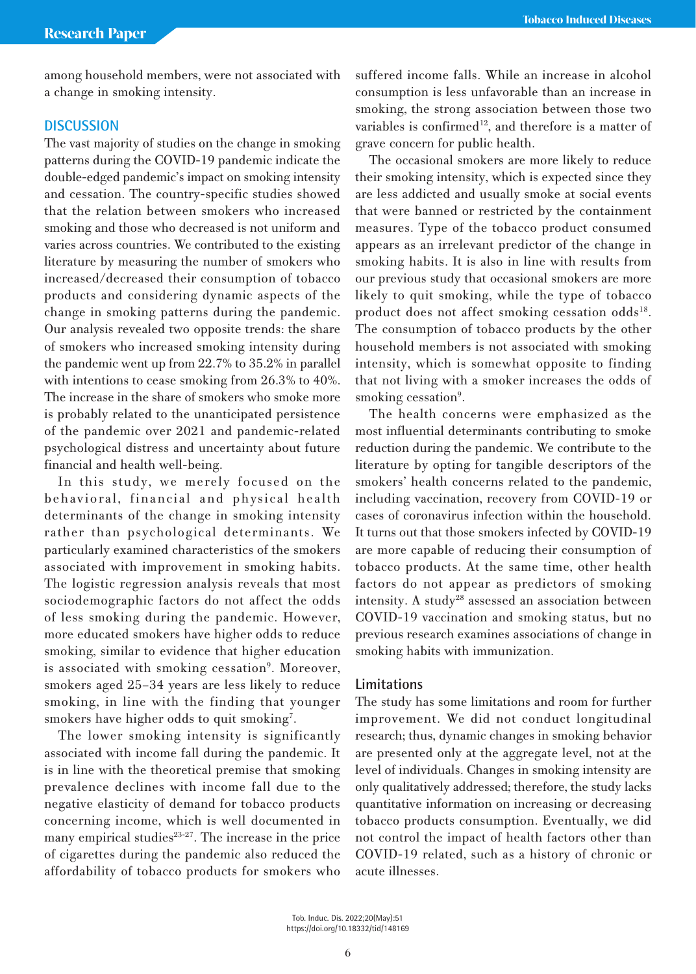among household members, were not associated with a change in smoking intensity.

# **DISCUSSION**

The vast majority of studies on the change in smoking patterns during the COVID-19 pandemic indicate the double-edged pandemic's impact on smoking intensity and cessation. The country-specific studies showed that the relation between smokers who increased smoking and those who decreased is not uniform and varies across countries. We contributed to the existing literature by measuring the number of smokers who increased/decreased their consumption of tobacco products and considering dynamic aspects of the change in smoking patterns during the pandemic. Our analysis revealed two opposite trends: the share of smokers who increased smoking intensity during the pandemic went up from 22.7% to 35.2% in parallel with intentions to cease smoking from 26.3% to 40%. The increase in the share of smokers who smoke more is probably related to the unanticipated persistence of the pandemic over 2021 and pandemic-related psychological distress and uncertainty about future financial and health well-being.

In this study, we merely focused on the behavioral, financial and physical health determinants of the change in smoking intensity rather than psychological determinants. We particularly examined characteristics of the smokers associated with improvement in smoking habits. The logistic regression analysis reveals that most sociodemographic factors do not affect the odds of less smoking during the pandemic. However, more educated smokers have higher odds to reduce smoking, similar to evidence that higher education is associated with smoking cessation<sup>9</sup>. Moreover, smokers aged 25–34 years are less likely to reduce smoking, in line with the finding that younger smokers have higher odds to quit smoking<sup>7</sup>.

The lower smoking intensity is significantly associated with income fall during the pandemic. It is in line with the theoretical premise that smoking prevalence declines with income fall due to the negative elasticity of demand for tobacco products concerning income, which is well documented in many empirical studies $23-27$ . The increase in the price of cigarettes during the pandemic also reduced the affordability of tobacco products for smokers who suffered income falls. While an increase in alcohol consumption is less unfavorable than an increase in smoking, the strong association between those two variables is confirmed<sup>12</sup>, and therefore is a matter of grave concern for public health.

The occasional smokers are more likely to reduce their smoking intensity, which is expected since they are less addicted and usually smoke at social events that were banned or restricted by the containment measures. Type of the tobacco product consumed appears as an irrelevant predictor of the change in smoking habits. It is also in line with results from our previous study that occasional smokers are more likely to quit smoking, while the type of tobacco product does not affect smoking cessation odds<sup>18</sup>. The consumption of tobacco products by the other household members is not associated with smoking intensity, which is somewhat opposite to finding that not living with a smoker increases the odds of smoking cessation<sup>9</sup>.

The health concerns were emphasized as the most influential determinants contributing to smoke reduction during the pandemic. We contribute to the literature by opting for tangible descriptors of the smokers' health concerns related to the pandemic, including vaccination, recovery from COVID-19 or cases of coronavirus infection within the household. It turns out that those smokers infected by COVID-19 are more capable of reducing their consumption of tobacco products. At the same time, other health factors do not appear as predictors of smoking intensity. A study28 assessed an association between COVID-19 vaccination and smoking status, but no previous research examines associations of change in smoking habits with immunization.

### **Limitations**

The study has some limitations and room for further improvement. We did not conduct longitudinal research; thus, dynamic changes in smoking behavior are presented only at the aggregate level, not at the level of individuals. Changes in smoking intensity are only qualitatively addressed; therefore, the study lacks quantitative information on increasing or decreasing tobacco products consumption. Eventually, we did not control the impact of health factors other than COVID-19 related, such as a history of chronic or acute illnesses.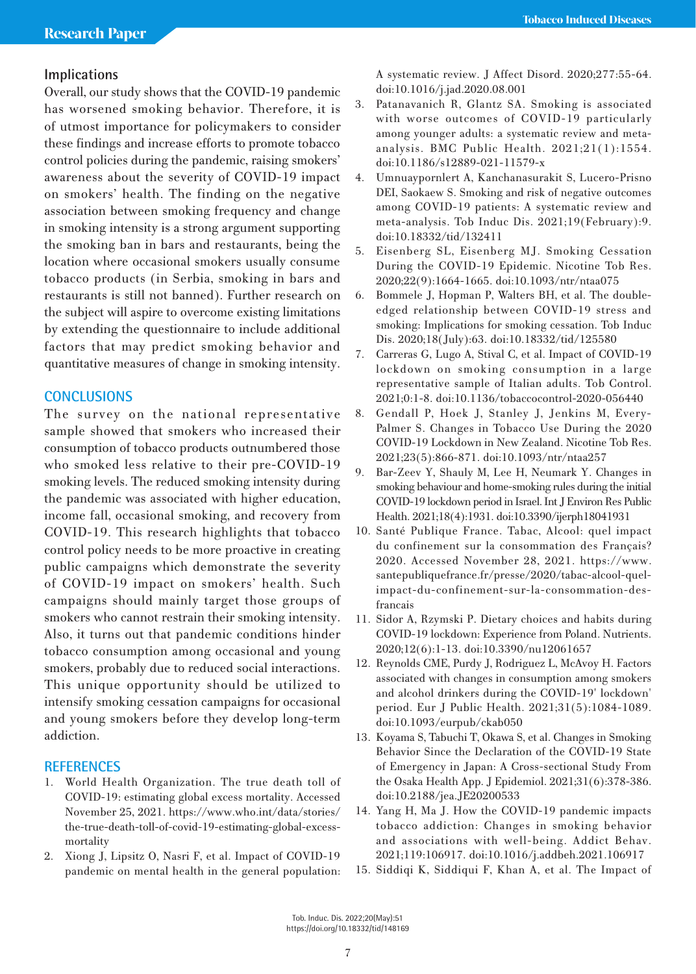# **Implications**

Overall, our study shows that the COVID-19 pandemic has worsened smoking behavior. Therefore, it is of utmost importance for policymakers to consider these findings and increase efforts to promote tobacco control policies during the pandemic, raising smokers' awareness about the severity of COVID-19 impact on smokers' health. The finding on the negative association between smoking frequency and change in smoking intensity is a strong argument supporting the smoking ban in bars and restaurants, being the location where occasional smokers usually consume tobacco products (in Serbia, smoking in bars and restaurants is still not banned). Further research on the subject will aspire to overcome existing limitations by extending the questionnaire to include additional factors that may predict smoking behavior and quantitative measures of change in smoking intensity.

# **CONCLUSIONS**

The survey on the national representative sample showed that smokers who increased their consumption of tobacco products outnumbered those who smoked less relative to their pre-COVID-19 smoking levels. The reduced smoking intensity during the pandemic was associated with higher education, income fall, occasional smoking, and recovery from COVID-19. This research highlights that tobacco control policy needs to be more proactive in creating public campaigns which demonstrate the severity of COVID-19 impact on smokers' health. Such campaigns should mainly target those groups of smokers who cannot restrain their smoking intensity. Also, it turns out that pandemic conditions hinder tobacco consumption among occasional and young smokers, probably due to reduced social interactions. This unique opportunity should be utilized to intensify smoking cessation campaigns for occasional and young smokers before they develop long-term addiction.

## **REFERENCES**

- 1. World Health Organization. The true death toll of COVID-19: estimating global excess mortality. Accessed November 25, 2021. https://www.who.int/data/stories/ the-true-death-toll-of-covid-19-estimating-global-excessmortality
- 2. Xiong J, Lipsitz O, Nasri F, et al. Impact of COVID-19 pandemic on mental health in the general population:

A systematic review. J Affect Disord. 2020;277:55-64. doi:10.1016/j.jad.2020.08.001

- 3. Patanavanich R, Glantz SA. Smoking is associated with worse outcomes of COVID-19 particularly among younger adults: a systematic review and metaanalysis. BMC Public Health. 2021;21(1):1554. doi:10.1186/s12889-021-11579-x
- 4. Umnuaypornlert A, Kanchanasurakit S, Lucero-Prisno DEI, Saokaew S. Smoking and risk of negative outcomes among COVID-19 patients: A systematic review and meta-analysis. Tob Induc Dis. 2021;19(February):9. doi:10.18332/tid/132411
- 5. Eisenberg SL, Eisenberg MJ. Smoking Cessation During the COVID-19 Epidemic. Nicotine Tob Res. 2020;22(9):1664-1665. doi:10.1093/ntr/ntaa075
- 6. Bommele J, Hopman P, Walters BH, et al. The doubleedged relationship between COVID-19 stress and smoking: Implications for smoking cessation. Tob Induc Dis. 2020;18(July):63. doi:10.18332/tid/125580
- 7. Carreras G, Lugo A, Stival C, et al. Impact of COVID-19 lockdown on smoking consumption in a large representative sample of Italian adults. Tob Control. 2021;0:1-8. doi:10.1136/tobaccocontrol-2020-056440
- 8. Gendall P, Hoek J, Stanley J, Jenkins M, Every-Palmer S. Changes in Tobacco Use During the 2020 COVID-19 Lockdown in New Zealand. Nicotine Tob Res. 2021;23(5):866-871. doi:10.1093/ntr/ntaa257
- 9. Bar-Zeev Y, Shauly M, Lee H, Neumark Y. Changes in smoking behaviour and home-smoking rules during the initial COVID-19 lockdown period in Israel. Int J Environ Res Public Health. 2021;18(4):1931. doi:10.3390/ijerph18041931
- 10. Santé Publique France. Tabac, Alcool: quel impact du confinement sur la consommation des Français? 2020. Accessed November 28, 2021. https://www. santepubliquefrance.fr/presse/2020/tabac-alcool-quelimpact-du-confinement-sur-la-consommation-desfrancais
- 11. Sidor A, Rzymski P. Dietary choices and habits during COVID-19 lockdown: Experience from Poland. Nutrients. 2020;12(6):1-13. doi:10.3390/nu12061657
- 12. Reynolds CME, Purdy J, Rodriguez L, McAvoy H. Factors associated with changes in consumption among smokers and alcohol drinkers during the COVID-19' lockdown' period. Eur J Public Health. 2021;31(5):1084-1089. doi:10.1093/eurpub/ckab050
- 13. Koyama S, Tabuchi T, Okawa S, et al. Changes in Smoking Behavior Since the Declaration of the COVID-19 State of Emergency in Japan: A Cross-sectional Study From the Osaka Health App. J Epidemiol. 2021;31(6):378-386. doi:10.2188/jea.JE20200533
- 14. Yang H, Ma J. How the COVID-19 pandemic impacts tobacco addiction: Changes in smoking behavior and associations with well-being. Addict Behav. 2021;119:106917. doi:10.1016/j.addbeh.2021.106917
- 15. Siddiqi K, Siddiqui F, Khan A, et al. The Impact of